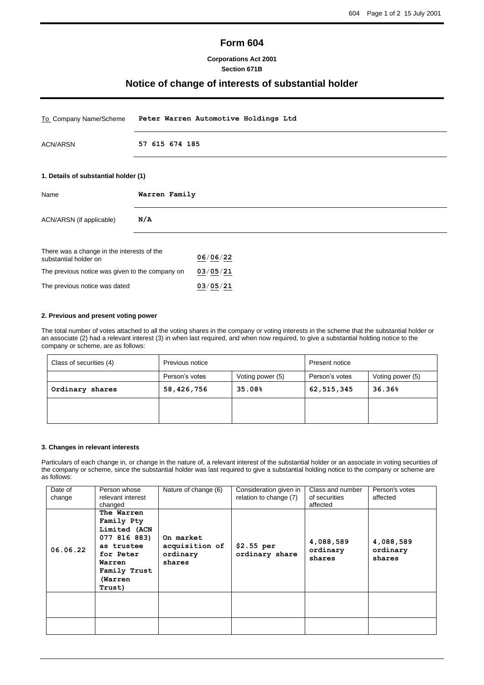# **Form 604**

# **Corporations Act 2001 Section 671B**

# **Notice of change of interests of substantial holder**

| To Company Name/Scheme                                              | Peter Warren Automotive Holdings Ltd |  |  |
|---------------------------------------------------------------------|--------------------------------------|--|--|
| <b>ACN/ARSN</b>                                                     | 57 615 674 185                       |  |  |
| 1. Details of substantial holder (1)                                |                                      |  |  |
| Name                                                                | Warren Family                        |  |  |
| ACN/ARSN (if applicable)                                            | N/A                                  |  |  |
| There was a change in the interests of the<br>substantial holder on | 06/06/22                             |  |  |
| The previous notice was given to the company on                     | 03/05/21                             |  |  |
| The previous notice was dated                                       | 03/05/21                             |  |  |

# **2. Previous and present voting power**

The total number of votes attached to all the voting shares in the company or voting interests in the scheme that the substantial holder or an associate (2) had a relevant interest (3) in when last required, and when now required, to give a substantial holding notice to the company or scheme, are as follows:

| Class of securities (4) | Previous notice |                  | Present notice |                  |
|-------------------------|-----------------|------------------|----------------|------------------|
|                         | Person's votes  | Voting power (5) | Person's votes | Voting power (5) |
| Ordinary shares         | 58,426,756      | 35.08%           | 62,515,345     | 36.36%           |
|                         |                 |                  |                |                  |

#### **3. Changes in relevant interests**

Particulars of each change in, or change in the nature of, a relevant interest of the substantial holder or an associate in voting securities of the company or scheme, since the substantial holder was last required to give a substantial holding notice to the company or scheme are as follows:

| Date of<br>change | Person whose<br>relevant interest<br>changed                                                                                       | Nature of change (6)                              | Consideration given in<br>relation to change (7) | Class and number<br>of securities<br>affected | Person's votes<br>affected      |
|-------------------|------------------------------------------------------------------------------------------------------------------------------------|---------------------------------------------------|--------------------------------------------------|-----------------------------------------------|---------------------------------|
| 06.06.22          | The Warren<br>Family Pty<br>Limited (ACN<br>077 816 883)<br>as trustee<br>for Peter<br>Warren<br>Family Trust<br>(Warren<br>Trust) | On market<br>acquisition of<br>ordinary<br>shares | \$2.55 per<br>ordinary share                     | 4,088,589<br>ordinary<br>shares               | 4,088,589<br>ordinary<br>shares |
|                   |                                                                                                                                    |                                                   |                                                  |                                               |                                 |